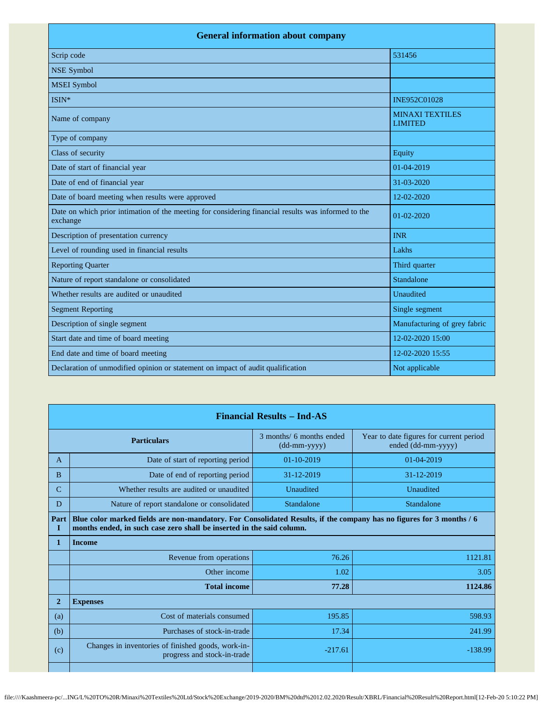| <b>General information about company</b>                                                                        |                                          |  |
|-----------------------------------------------------------------------------------------------------------------|------------------------------------------|--|
| Scrip code                                                                                                      | 531456                                   |  |
| <b>NSE Symbol</b>                                                                                               |                                          |  |
| <b>MSEI</b> Symbol                                                                                              |                                          |  |
| ISIN*                                                                                                           | <b>INE952C01028</b>                      |  |
| Name of company                                                                                                 | <b>MINAXI TEXTILES</b><br><b>LIMITED</b> |  |
| Type of company                                                                                                 |                                          |  |
| Class of security                                                                                               | Equity                                   |  |
| Date of start of financial year                                                                                 | 01-04-2019                               |  |
| Date of end of financial year                                                                                   | 31-03-2020                               |  |
| Date of board meeting when results were approved                                                                | 12-02-2020                               |  |
| Date on which prior intimation of the meeting for considering financial results was informed to the<br>exchange | 01-02-2020                               |  |
| Description of presentation currency                                                                            | <b>INR</b>                               |  |
| Level of rounding used in financial results                                                                     | Lakhs                                    |  |
| <b>Reporting Quarter</b>                                                                                        | Third quarter                            |  |
| Nature of report standalone or consolidated                                                                     | Standalone                               |  |
| Whether results are audited or unaudited                                                                        | Unaudited                                |  |
| <b>Segment Reporting</b>                                                                                        | Single segment                           |  |
| Description of single segment                                                                                   | Manufacturing of grey fabric             |  |
| Start date and time of board meeting                                                                            | 12-02-2020 15:00                         |  |
| End date and time of board meeting                                                                              | 12-02-2020 15:55                         |  |
| Declaration of unmodified opinion or statement on impact of audit qualification                                 | Not applicable                           |  |

|                  | <b>Financial Results – Ind-AS</b>                                                                                                                                                             |                                                                  |                                                               |  |
|------------------|-----------------------------------------------------------------------------------------------------------------------------------------------------------------------------------------------|------------------------------------------------------------------|---------------------------------------------------------------|--|
|                  | <b>Particulars</b>                                                                                                                                                                            | 3 months/ 6 months ended<br>$(dd{\text{-}\!\!\,\text{mm-}}yyyy)$ | Year to date figures for current period<br>ended (dd-mm-yyyy) |  |
| $\mathsf{A}$     | Date of start of reporting period                                                                                                                                                             | $01 - 10 - 2019$                                                 | $01-04-2019$                                                  |  |
| <sub>B</sub>     | Date of end of reporting period                                                                                                                                                               | 31-12-2019                                                       | 31-12-2019                                                    |  |
| $\mathcal{C}$    | Whether results are audited or unaudited                                                                                                                                                      | Unaudited                                                        | Unaudited                                                     |  |
| D                | Nature of report standalone or consolidated                                                                                                                                                   | Standalone                                                       | Standalone                                                    |  |
| Part<br>$\bf{I}$ | Blue color marked fields are non-mandatory. For Consolidated Results, if the company has no figures for 3 months / 6<br>months ended, in such case zero shall be inserted in the said column. |                                                                  |                                                               |  |
| $\mathbf{1}$     | <b>Income</b>                                                                                                                                                                                 |                                                                  |                                                               |  |
|                  | Revenue from operations                                                                                                                                                                       | 76.26                                                            | 1121.81                                                       |  |
|                  | Other income                                                                                                                                                                                  | 1.02                                                             | 3.05                                                          |  |
|                  | <b>Total income</b>                                                                                                                                                                           | 77.28                                                            | 1124.86                                                       |  |
| $\overline{2}$   | <b>Expenses</b>                                                                                                                                                                               |                                                                  |                                                               |  |
| (a)              | Cost of materials consumed                                                                                                                                                                    | 195.85                                                           | 598.93                                                        |  |
| (b)              | Purchases of stock-in-trade                                                                                                                                                                   | 17.34                                                            | 241.99                                                        |  |
| (c)              | Changes in inventories of finished goods, work-in-<br>progress and stock-in-trade                                                                                                             | $-217.61$                                                        | $-138.99$                                                     |  |
|                  |                                                                                                                                                                                               |                                                                  |                                                               |  |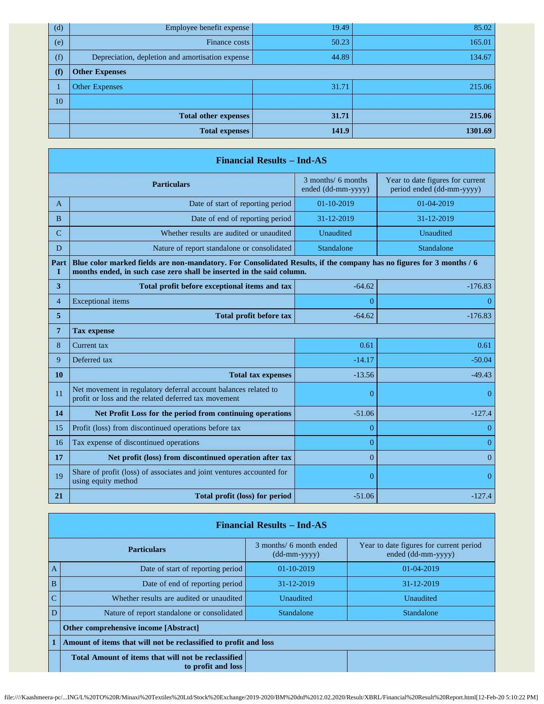| (d) | Employee benefit expense                         | 19.49 | 85.02   |
|-----|--------------------------------------------------|-------|---------|
| (e) | Finance costs                                    | 50.23 | 165.01  |
| (f) | Depreciation, depletion and amortisation expense | 44.89 | 134.67  |
| (f) | <b>Other Expenses</b>                            |       |         |
|     | Other Expenses                                   | 31.71 | 215.06  |
| 10  |                                                  |       |         |
|     | <b>Total other expenses</b>                      | 31.71 | 215.06  |
|     | <b>Total expenses</b>                            | 141.9 | 1301.69 |

|                | <b>Financial Results - Ind-AS</b>                                                                                                                                                             |                                          |                                                               |
|----------------|-----------------------------------------------------------------------------------------------------------------------------------------------------------------------------------------------|------------------------------------------|---------------------------------------------------------------|
|                | <b>Particulars</b>                                                                                                                                                                            | 3 months/ 6 months<br>ended (dd-mm-yyyy) | Year to date figures for current<br>period ended (dd-mm-yyyy) |
| A              | Date of start of reporting period                                                                                                                                                             | 01-10-2019                               | 01-04-2019                                                    |
| B              | Date of end of reporting period                                                                                                                                                               | 31-12-2019                               | 31-12-2019                                                    |
| $\mathcal{C}$  | Whether results are audited or unaudited                                                                                                                                                      | Unaudited                                | Unaudited                                                     |
| D              | Nature of report standalone or consolidated                                                                                                                                                   | Standalone                               | Standalone                                                    |
| Part<br>I      | Blue color marked fields are non-mandatory. For Consolidated Results, if the company has no figures for 3 months / 6<br>months ended, in such case zero shall be inserted in the said column. |                                          |                                                               |
| 3              | Total profit before exceptional items and tax                                                                                                                                                 | $-64.62$                                 | $-176.83$                                                     |
| $\overline{4}$ | <b>Exceptional</b> items                                                                                                                                                                      | 0                                        | $\Omega$                                                      |
| 5              | Total profit before tax                                                                                                                                                                       | $-64.62$                                 | $-176.83$                                                     |
| 7              | <b>Tax expense</b>                                                                                                                                                                            |                                          |                                                               |
| 8              | Current tax                                                                                                                                                                                   | 0.61                                     | 0.61                                                          |
| 9              | Deferred tax                                                                                                                                                                                  | $-14.17$                                 | $-50.04$                                                      |
| 10             | <b>Total tax expenses</b>                                                                                                                                                                     | $-13.56$                                 | $-49.43$                                                      |
| 11             | Net movement in regulatory deferral account balances related to<br>profit or loss and the related deferred tax movement                                                                       | $\overline{0}$                           | $\overline{0}$                                                |
| 14             | Net Profit Loss for the period from continuing operations                                                                                                                                     | $-51.06$                                 | $-127.4$                                                      |
| 15             | Profit (loss) from discontinued operations before tax                                                                                                                                         | $\overline{0}$                           | $\overline{0}$                                                |
| 16             | Tax expense of discontinued operations                                                                                                                                                        | $\overline{0}$                           | $\overline{0}$                                                |
| 17             | Net profit (loss) from discontinued operation after tax                                                                                                                                       | $\overline{0}$                           | $\Omega$                                                      |
| 19             | Share of profit (loss) of associates and joint ventures accounted for<br>using equity method                                                                                                  | $\overline{0}$                           | $\overline{0}$                                                |
| 21             | Total profit (loss) for period                                                                                                                                                                | $-51.06$                                 | $-127.4$                                                      |

|                    | <b>Financial Results – Ind-AS</b>                                         |                                           |                                                               |  |  |
|--------------------|---------------------------------------------------------------------------|-------------------------------------------|---------------------------------------------------------------|--|--|
| <b>Particulars</b> |                                                                           | 3 months/ 6 month ended<br>$(dd-mm-yyyy)$ | Year to date figures for current period<br>ended (dd-mm-yyyy) |  |  |
| A                  | Date of start of reporting period                                         | $01-10-2019$                              | $01-04-2019$                                                  |  |  |
| B                  | Date of end of reporting period                                           | 31-12-2019                                | 31-12-2019                                                    |  |  |
| $\overline{C}$     | Whether results are audited or unaudited                                  | Unaudited                                 | Unaudited                                                     |  |  |
| D                  | Nature of report standalone or consolidated                               | Standalone                                | <b>Standalone</b>                                             |  |  |
|                    | <b>Other comprehensive income [Abstract]</b>                              |                                           |                                                               |  |  |
|                    | Amount of items that will not be reclassified to profit and loss          |                                           |                                                               |  |  |
|                    | Total Amount of items that will not be reclassified<br>to profit and loss |                                           |                                                               |  |  |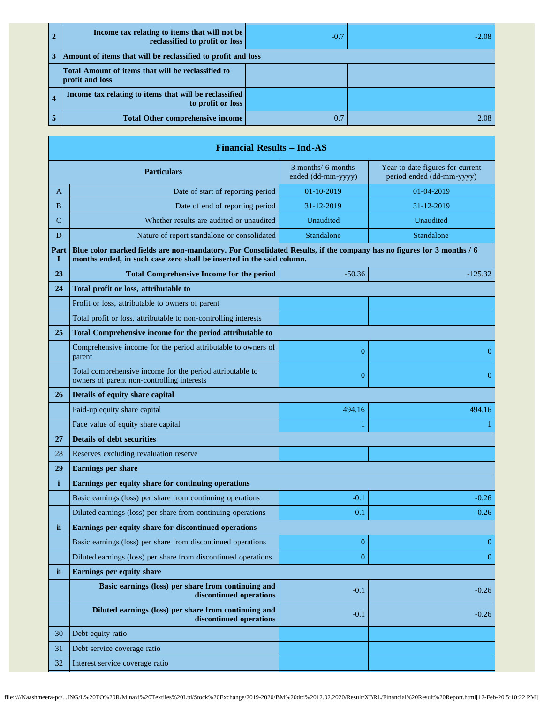| Income tax relating to items that will not be<br>reclassified to profit or loss | $-0.7$ | $-2.08$ |
|---------------------------------------------------------------------------------|--------|---------|
| Amount of items that will be reclassified to profit and loss                    |        |         |
| Total Amount of items that will be reclassified to<br>profit and loss           |        |         |
| Income tax relating to items that will be reclassified<br>to profit or loss     |        |         |
| <b>Total Other comprehensive income</b>                                         | 0.7    | 2.08    |

|              | <b>Financial Results - Ind-AS</b>                                                                                                                                                             |                                          |                                                               |
|--------------|-----------------------------------------------------------------------------------------------------------------------------------------------------------------------------------------------|------------------------------------------|---------------------------------------------------------------|
|              | <b>Particulars</b>                                                                                                                                                                            | 3 months/ 6 months<br>ended (dd-mm-yyyy) | Year to date figures for current<br>period ended (dd-mm-yyyy) |
| A            | Date of start of reporting period                                                                                                                                                             | 01-10-2019                               | 01-04-2019                                                    |
| B            | Date of end of reporting period                                                                                                                                                               | 31-12-2019                               | 31-12-2019                                                    |
| $\mathbf C$  | Whether results are audited or unaudited                                                                                                                                                      | Unaudited                                | Unaudited                                                     |
| D            | Nature of report standalone or consolidated                                                                                                                                                   | Standalone                               | Standalone                                                    |
| Part<br>I.   | Blue color marked fields are non-mandatory. For Consolidated Results, if the company has no figures for 3 months / 6<br>months ended, in such case zero shall be inserted in the said column. |                                          |                                                               |
| 23           | <b>Total Comprehensive Income for the period</b>                                                                                                                                              | $-50.36$                                 | $-125.32$                                                     |
| 24           | Total profit or loss, attributable to                                                                                                                                                         |                                          |                                                               |
|              | Profit or loss, attributable to owners of parent                                                                                                                                              |                                          |                                                               |
|              | Total profit or loss, attributable to non-controlling interests                                                                                                                               |                                          |                                                               |
| 25           | Total Comprehensive income for the period attributable to                                                                                                                                     |                                          |                                                               |
|              | Comprehensive income for the period attributable to owners of<br>parent                                                                                                                       | $\overline{0}$                           | $\mathbf{0}$                                                  |
|              | Total comprehensive income for the period attributable to<br>owners of parent non-controlling interests                                                                                       | $\overline{0}$                           | $\mathbf{0}$                                                  |
| 26           | Details of equity share capital                                                                                                                                                               |                                          |                                                               |
|              | Paid-up equity share capital                                                                                                                                                                  | 494.16                                   | 494.16                                                        |
|              | Face value of equity share capital                                                                                                                                                            | 1                                        | -1                                                            |
| 27           | <b>Details of debt securities</b>                                                                                                                                                             |                                          |                                                               |
| 28           | Reserves excluding revaluation reserve                                                                                                                                                        |                                          |                                                               |
| 29           | <b>Earnings per share</b>                                                                                                                                                                     |                                          |                                                               |
| $\mathbf{i}$ | Earnings per equity share for continuing operations                                                                                                                                           |                                          |                                                               |
|              | Basic earnings (loss) per share from continuing operations                                                                                                                                    | $-0.1$                                   | $-0.26$                                                       |
|              | Diluted earnings (loss) per share from continuing operations                                                                                                                                  | $-0.1$                                   | $-0.26$                                                       |
| ii.          | Earnings per equity share for discontinued operations                                                                                                                                         |                                          |                                                               |
|              | Basic earnings (loss) per share from discontinued operations                                                                                                                                  | $\boldsymbol{0}$                         | $\boldsymbol{0}$                                              |
|              | Diluted earnings (loss) per share from discontinued operations                                                                                                                                | $\theta$                                 | $\theta$                                                      |
| ii           | Earnings per equity share                                                                                                                                                                     |                                          |                                                               |
|              | Basic earnings (loss) per share from continuing and<br>discontinued operations                                                                                                                | $-0.1$                                   | $-0.26$                                                       |
|              | Diluted earnings (loss) per share from continuing and<br>discontinued operations                                                                                                              | $-0.1$                                   | $-0.26$                                                       |
| 30           | Debt equity ratio                                                                                                                                                                             |                                          |                                                               |
| 31           | Debt service coverage ratio                                                                                                                                                                   |                                          |                                                               |
| 32           | Interest service coverage ratio                                                                                                                                                               |                                          |                                                               |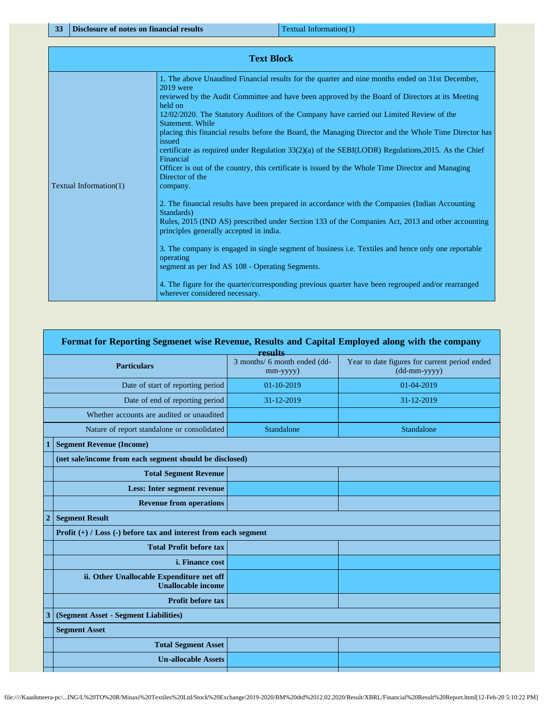| <b>Text Block</b>      |                                                                                                                                                                                                                                                                                                                                                                                                                                                                                                                                                                                                                                                                                                                                                                                                                                                                                                                                                                                                                                                                                                                                                                   |  |
|------------------------|-------------------------------------------------------------------------------------------------------------------------------------------------------------------------------------------------------------------------------------------------------------------------------------------------------------------------------------------------------------------------------------------------------------------------------------------------------------------------------------------------------------------------------------------------------------------------------------------------------------------------------------------------------------------------------------------------------------------------------------------------------------------------------------------------------------------------------------------------------------------------------------------------------------------------------------------------------------------------------------------------------------------------------------------------------------------------------------------------------------------------------------------------------------------|--|
| Textual Information(1) | 1. The above Unaudited Financial results for the quarter and nine months ended on 31st December,<br>$2019$ were<br>reviewed by the Audit Committee and have been approved by the Board of Directors at its Meeting<br>held on<br>12/02/2020. The Statutory Auditors of the Company have carried out Limited Review of the<br>Statement, While<br>placing this financial results before the Board, the Managing Director and the Whole Time Director has<br>issued<br>certificate as required under Regulation 33(2)(a) of the SEBI(LODR) Regulations, 2015. As the Chief<br>Financial<br>Officer is out of the country, this certificate is issued by the Whole Time Director and Managing<br>Director of the<br>company.<br>2. The financial results have been prepared in accordance with the Companies (Indian Accounting<br>Standards)<br>Rules, 2015 (IND AS) prescribed under Section 133 of the Companies Act, 2013 and other accounting<br>principles generally accepted in india.<br>3. The company is engaged in single segment of business i.e. Textiles and hence only one reportable<br>operating<br>segment as per Ind AS 108 - Operating Segments. |  |
|                        | 4. The figure for the quarter/corresponding previous quarter have been regrouped and/or rearranged<br>wherever considered necessary.                                                                                                                                                                                                                                                                                                                                                                                                                                                                                                                                                                                                                                                                                                                                                                                                                                                                                                                                                                                                                              |  |

## **Format for Reporting Segmenet wise Revenue, Results and Capital Employed along with the company**

|                | results                                                                |                                          |                                                                 |  |
|----------------|------------------------------------------------------------------------|------------------------------------------|-----------------------------------------------------------------|--|
|                | <b>Particulars</b>                                                     | 3 months/ 6 month ended (dd-<br>mm-yyyy) | Year to date figures for current period ended<br>$(dd-mm-yyyy)$ |  |
|                | Date of start of reporting period                                      | $01-10-2019$                             | 01-04-2019                                                      |  |
|                | Date of end of reporting period                                        | 31-12-2019                               | 31-12-2019                                                      |  |
|                | Whether accounts are audited or unaudited                              |                                          |                                                                 |  |
|                | Nature of report standalone or consolidated                            | Standalone                               | Standalone                                                      |  |
| 1              | <b>Segment Revenue (Income)</b>                                        |                                          |                                                                 |  |
|                | (net sale/income from each segment should be disclosed)                |                                          |                                                                 |  |
|                | <b>Total Segment Revenue</b>                                           |                                          |                                                                 |  |
|                | Less: Inter segment revenue                                            |                                          |                                                                 |  |
|                | <b>Revenue from operations</b>                                         |                                          |                                                                 |  |
| $\overline{2}$ | <b>Segment Result</b>                                                  |                                          |                                                                 |  |
|                | Profit $(+)$ / Loss $(-)$ before tax and interest from each segment    |                                          |                                                                 |  |
|                | <b>Total Profit before tax</b>                                         |                                          |                                                                 |  |
|                | <i>i.</i> Finance cost                                                 |                                          |                                                                 |  |
|                | ii. Other Unallocable Expenditure net off<br><b>Unallocable income</b> |                                          |                                                                 |  |
|                | Profit before tax                                                      |                                          |                                                                 |  |
| 3              | (Segment Asset - Segment Liabilities)                                  |                                          |                                                                 |  |
|                | <b>Segment Asset</b>                                                   |                                          |                                                                 |  |
|                | <b>Total Segment Asset</b>                                             |                                          |                                                                 |  |
|                | <b>Un-allocable Assets</b>                                             |                                          |                                                                 |  |
|                |                                                                        |                                          |                                                                 |  |